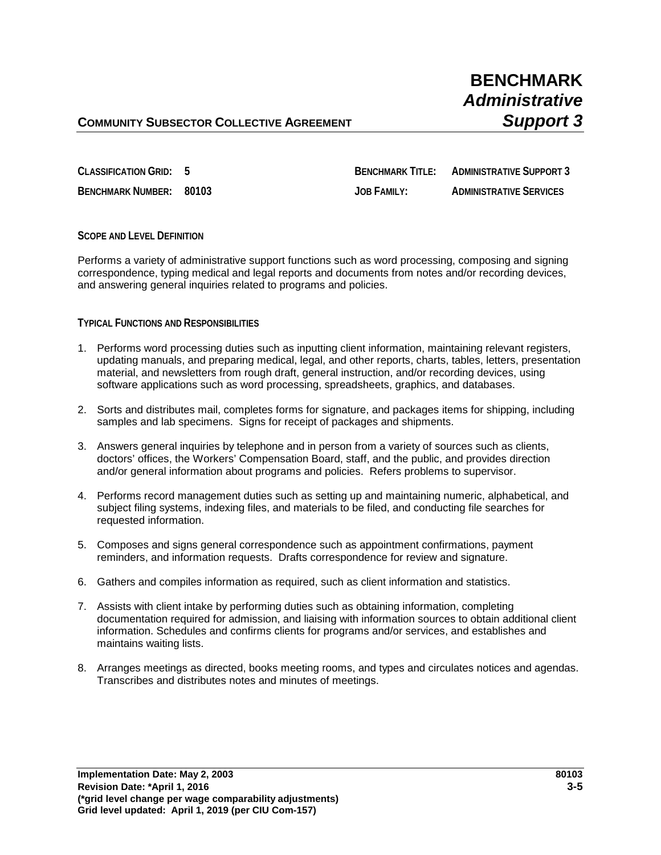**CLASSIFICATION GRID: 5 BENCHMARK TITLE: ADMINISTRATIVE SUPPORT 3 BENCHMARK NUMBER: 80103 JOB FAMILY: ADMINISTRATIVE SERVICES**

## **SCOPE AND LEVEL DEFINITION**

Performs a variety of administrative support functions such as word processing, composing and signing correspondence, typing medical and legal reports and documents from notes and/or recording devices, and answering general inquiries related to programs and policies.

### **TYPICAL FUNCTIONS AND RESPONSIBILITIES**

- 1. Performs word processing duties such as inputting client information, maintaining relevant registers, updating manuals, and preparing medical, legal, and other reports, charts, tables, letters, presentation material, and newsletters from rough draft, general instruction, and/or recording devices, using software applications such as word processing, spreadsheets, graphics, and databases.
- 2. Sorts and distributes mail, completes forms for signature, and packages items for shipping, including samples and lab specimens. Signs for receipt of packages and shipments.
- 3. Answers general inquiries by telephone and in person from a variety of sources such as clients, doctors' offices, the Workers' Compensation Board, staff, and the public, and provides direction and/or general information about programs and policies. Refers problems to supervisor.
- 4. Performs record management duties such as setting up and maintaining numeric, alphabetical, and subject filing systems, indexing files, and materials to be filed, and conducting file searches for requested information.
- 5. Composes and signs general correspondence such as appointment confirmations, payment reminders, and information requests. Drafts correspondence for review and signature.
- 6. Gathers and compiles information as required, such as client information and statistics.
- 7. Assists with client intake by performing duties such as obtaining information, completing documentation required for admission, and liaising with information sources to obtain additional client information. Schedules and confirms clients for programs and/or services, and establishes and maintains waiting lists.
- 8. Arranges meetings as directed, books meeting rooms, and types and circulates notices and agendas. Transcribes and distributes notes and minutes of meetings.